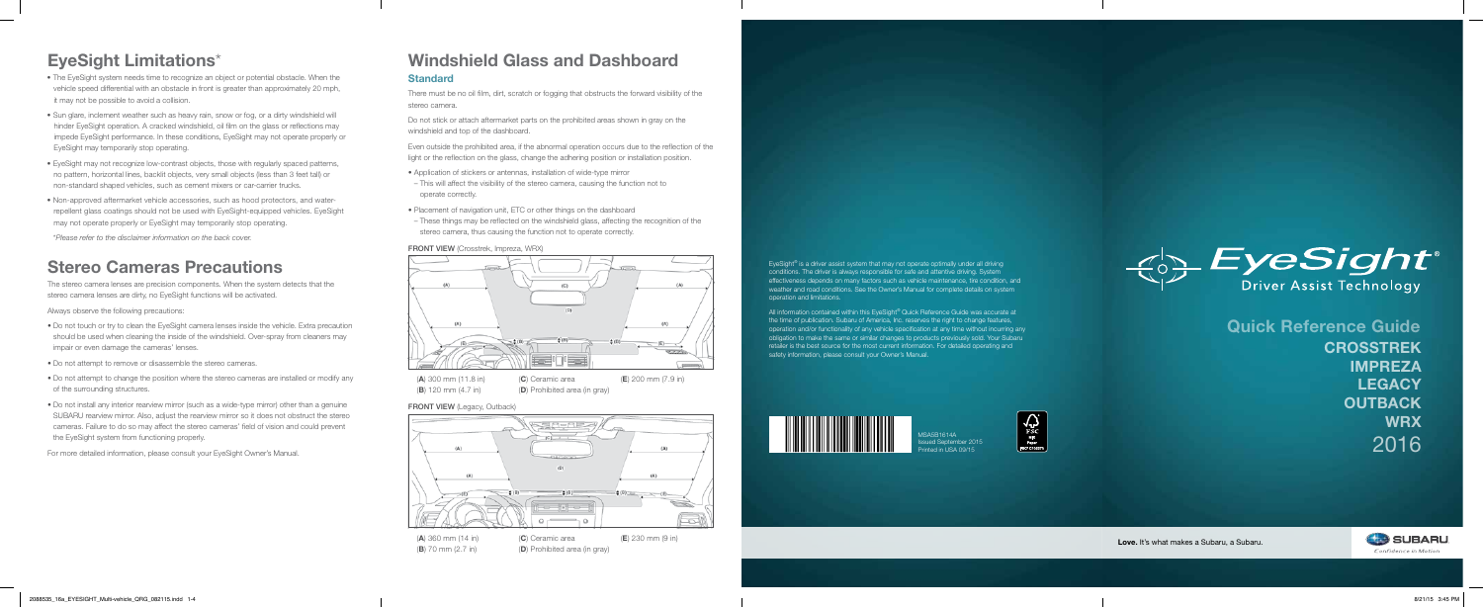MSA5B1614A ssued September 2015 Printed in USA 09/15





EyeSight® is a driver assist system that may not operate optimally under all driving conditions. The driver is always responsible for safe and attentive driving. System effectiveness depends on many factors such as vehicle maintenance, tire condition, and weather and road conditions. See the Owner's Manual for complete details on system



operation and limitations.

All information contained within this EyeSight® Quick Reference Guide was accurate at the time of publication. Subaru of America, Inc. reserves the right to change features, operation and/or functionality of any vehicle specification at any time without incurring any obligation to make the same or similar changes to products previously sold. Your Subaru retailer is the best source for the most current information. For detailed operating and safety information, please consult your Owner's Manual.



## EyeSight Limitations\*

The stereo camera lenses are precision components. When the system detects that the stereo camera lenses are dirty, no EyeSight functions will be activated.

Always observe the following precautions:

- Do not touch or try to clean the EyeSight camera lenses inside the vehicle. Extra precaution should be used when cleaning the inside of the windshield. Over-spray from cleaners may impair or even damage the cameras' lenses.
- Do not attempt to remove or disassemble the stereo cameras.
- Do not attempt to change the position where the stereo cameras are installed or modify any of the surrounding structures.
- Do not install any interior rearview mirror (such as a wide-type mirror) other than a genuine SUBARU rearview mirror. Also, adjust the rearview mirror so it does not obstruct the stereo cameras. Failure to do so may affect the stereo cameras' field of vision and could prevent the EyeSight system from functioning properly.

For more detailed information, please consult your EyeSight Owner's Manual.

- The EyeSight system needs time to recognize an object or potential obstacle. When the vehicle speed differential with an obstacle in front is greater than approximately 20 mph, it may not be possible to avoid a collision.
- Sun glare, inclement weather such as heavy rain, snow or fog, or a dirty windshield will hinder EyeSight operation. A cracked windshield, oil film on the glass or reflections may impede EyeSight performance. In these conditions, EyeSight may not operate properly or EyeSight may temporarily stop operating.
- EyeSight may not recognize low-contrast objects, those with regularly spaced patterns, no pattern, horizontal lines, backlit objects, very small objects (less than 3 feet tall) or non-standard shaped vehicles, such as cement mixers or car-carrier trucks.
- Non-approved aftermarket vehicle accessories, such as hood protectors, and waterrepellent glass coatings should not be used with EyeSight-equipped vehicles. EyeSight may not operate properly or EyeSight may temporarily stop operating.

\**Please refer to the disclaimer information on the back cover.*

### Stereo Cameras Precautions

There must be no oil film, dirt, scratch or fogging that obstructs the forward visibility of the stereo camera.

Do not stick or attach aftermarket parts on the prohibited areas shown in gray on the windshield and top of the dashboard.

Even outside the prohibited area, if the abnormal operation occurs due to the reflection of the light or the reflection on the glass, change the adhering position or installation position.

- Application of stickers or antennas, installation of wide‐type mirror
- This will affect the visibility of the stereo camera, causing the function not to operate correctly.
- Placement of navigation unit, ETC or other things on the dashboard
- These things may be reflected on the windshield glass, affecting the recognition of the stereo camera, thus causing the function not to operate correctly.

#### FRONT VIEW (Crosstrek, Impreza, WRX)

### Windshield Glass and Dashboard

#### **Standard**



 $(B)$  120 mm  $(4.7 \text{ in})$ 

(D) Prohibited area (in gray)

Love. It's what makes a Subaru, a Subaru.



(A) 360 mm (14 in) (B) 70 mm (2.7 in)

(C) Ceramic area (D) Prohibited area (in gray) (E) 230 mm (9 in) Quick Reference Guide **CROSSTREK** IMPREZA **LEGACY OUTBACK WRX** 2016